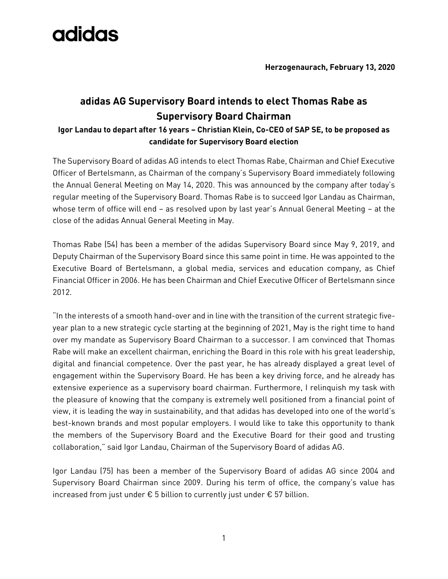

## **adidas AG Supervisory Board intends to elect Thomas Rabe as Supervisory Board Chairman**

## **Igor Landau to depart after 16 years – Christian Klein, Co-CEO of SAP SE, to be proposed as candidate for Supervisory Board election**

The Supervisory Board of adidas AG intends to elect Thomas Rabe, Chairman and Chief Executive Officer of Bertelsmann, as Chairman of the company's Supervisory Board immediately following the Annual General Meeting on May 14, 2020. This was announced by the company after today's regular meeting of the Supervisory Board. Thomas Rabe is to succeed Igor Landau as Chairman, whose term of office will end – as resolved upon by last year's Annual General Meeting – at the close of the adidas Annual General Meeting in May.

Thomas Rabe (54) has been a member of the adidas Supervisory Board since May 9, 2019, and Deputy Chairman of the Supervisory Board since this same point in time. He was appointed to the Executive Board of Bertelsmann, a global media, services and education company, as Chief Financial Officer in 2006. He has been Chairman and Chief Executive Officer of Bertelsmann since 2012.

"In the interests of a smooth hand-over and in line with the transition of the current strategic fiveyear plan to a new strategic cycle starting at the beginning of 2021, May is the right time to hand over my mandate as Supervisory Board Chairman to a successor. I am convinced that Thomas Rabe will make an excellent chairman, enriching the Board in this role with his great leadership, digital and financial competence. Over the past year, he has already displayed a great level of engagement within the Supervisory Board. He has been a key driving force, and he already has extensive experience as a supervisory board chairman. Furthermore, I relinquish my task with the pleasure of knowing that the company is extremely well positioned from a financial point of view, it is leading the way in sustainability, and that adidas has developed into one of the world's best-known brands and most popular employers. I would like to take this opportunity to thank the members of the Supervisory Board and the Executive Board for their good and trusting collaboration," said Igor Landau, Chairman of the Supervisory Board of adidas AG.

Igor Landau (75) has been a member of the Supervisory Board of adidas AG since 2004 and Supervisory Board Chairman since 2009. During his term of office, the company's value has increased from just under  $\epsilon$  5 billion to currently just under  $\epsilon$  57 billion.